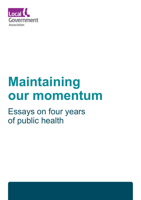

# **Maintaining our momentum**

Essays on four years of public health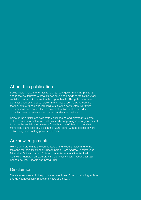#### About this publication

Public health made the formal transfer to local government in April 2013, and in the last four years great strides have been made to tackle the wider social and economic determinants of poor health. This publication was commissioned by the Local Government Association (LGA) to capture the thoughts of those working hard to make the new system work with contributions from councillors, directors of public health, providers, commissioners, academics and other key decision makers.

Some of the articles are deliberately challenging and provocative; some of them present a picture of what is already happening in local government to tackle the social determinants of health; some of them look to what more local authorities could do in the future, either with additional powers or by using their existing powers and remit.

#### Acknowledgements

We are very grateful to the contributors of individual articles and to the following for their assistance; Duncan Selbie, Lord Andrew Lansley, John Middleton, Shirley Cramer, Professor Jane Anderson, Gina Radford, Councillor Richard Kemp, Andrew Furber, Paul Najsarek, Councillor Izzi Seccombe, Paul Lincoln and David Buck.

#### Disclaimer

The views expressed in the publication are those of the contributing authors and do not necessarily reflect the views of the LGA.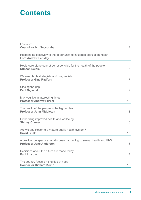# **Contents**

| Foreword                                                                                                  |                |
|-----------------------------------------------------------------------------------------------------------|----------------|
| <b>Councillor Izzi Seccombe</b>                                                                           | $\overline{4}$ |
| Responding positively to the opportunity to influence population health<br><b>Lord Andrew Lansley</b>     | 5              |
| Healthcare alone cannot be responsible for the health of the people<br><b>Duncan Selbie</b>               | 6              |
| We need both strategists and pragmatists<br><b>Professor Gina Radford</b>                                 | $\overline{7}$ |
| Closing the gap<br><b>Paul Najsarek</b>                                                                   | 9              |
| May you live in interesting times<br><b>Professor Andrew Furber</b>                                       | 10             |
| The health of the people is the highest law<br><b>Professor John Middleton</b>                            | 11             |
| Embedding improved health and wellbeing<br><b>Shirley Cramer</b>                                          | 13             |
| Are we any closer to a mature public health system?<br><b>David Buck</b>                                  | 15             |
| A provider perspective: what's been happening to sexual health and HIV?<br><b>Professor Jane Anderson</b> | 16             |
| Decisions about the future are made today<br><b>Paul Lincoln</b>                                          | 17             |
| The country faces a rising tide of need<br><b>Councillor Richard Kemp</b>                                 | 18             |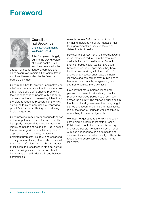# **Foreword**



#### Councillor Izzi Seccombe Chair, LGA Community Wellbeing Board

After four years, I hugely admire the way directors of public health (DsPH) and their teams, with the

support of council leaders, cabinets and chief executives, remain full of commitment and inventiveness, despite the financial barriers they face.

Good public health, drawing imaginatively on all of local government's functions, can make a real, large-scale difference to promoting the independence of people with long-term chronic conditions, to preventing ill health and therefore to reducing pressures on the NHS, as well as to its primary goals of improving people's lives and wellbeing and reducing health inequalities.

Good practice from individual councils shows just what potential there is for public health, if properly resourced, to make inroads into improving health and wellbeing. Public health teams, working with a 'health in all policies' approach across councils, are tackling persistent problems like adult and childhood obesity, mental illness, alcohol abuse, sexually transmitted infections and the health impact of isolation and loneliness in old age, as well as addressing some of the serious health inequalities that still exist within and between communities.

Already, we see DsPH beginning to build on their understanding of the impact of most local government functions on the social determinants of health.

However, the context for all the excellent work is the relentless reduction in the resources available for public health work. Councils and their public health teams have put a brave face on the compromises they have had to make, working with the local NHS and voluntary sector, sharing public health initiatives and sometimes even public health teams across councils, reorganising in an attempt to achieve more with less.

I take my hat off to their resilience and passion but I want to reiterate my plea for properly resourced public health services across the country. The renewed public health function of local government has only just got started and it cannot continue to maximise its role at the heart of councils while continually retrenching to make budget cuts.

We must not get used to the NHS and social care being in a permanent state of crisis. Public health could help make this country one where people live healthy lives for longer with less dependence on acute health and care services and a better quality of life, while reducing the public service budget in the long term.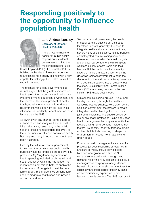# **Responding positively to the opportunity to influence population health**



#### Lord Andrew Lansley Secretary of State for Health 2010-2012

It is four years since the transfer of public health responsibilities to local government and into the more independent Public

Health England (PHE). It is clear that PHE is building on the Health Protection Agency's reputation for high-quality science with a new appetite for tackling public health issues, like sugar in our diet.

The rationale for a local government lead is unchanged: that the greatest impacts on health are in the circumstances in which we live, employment, education, environment and the effects of the social gradient of health, that is, equality or the lack of it. And local government, while often limited itself in its influence, can certainly impact more on these factors than the NHS.

As always with any change, some embrace it, some resist and many wait and see. After initial reluctance, I see many in the public health professions responding positively to the opportunity to influence population health. But they, and many in local government have been frustrated.

First, by the failure of central government to live up to the promise that public health budgets would no longer be eroded by NHS pressures. My 'ring-fence' agreement on health spending included public health and health education within the ring-fence. The recent settlement raided both, to enable the increase in NHS budgets to meet the realterms target. This undermines our long-term need to moderate health need and provide our future workforce.

Secondly, in local government, the needs of social care are pushing out the space for reform in health generally. The need to integrate health and social care is not new, nor are many of the solutions. Pooled budgets and integrated commissioning have been developed over decades. Personal budgets are an essential component to making care work seamlessly for care users and their families. But the public health community know that this is a limited solution when the drive was for local government to bring the democratic voice and preventative approaches on a population basis to health delivery; but, too often, Sustainability and Transformation Plans (STPs) are being constructed on an insular 'NHS knows best' model.

Clinical commissioning groups (CCGs) and local government, through the health and wellbeing boards (HWBs), were given by the Coalition Government the powers to create integrated health planning. It should mean joint commissioning. This should be led by the public health profession, using population health management techniques to tackle the factors driving rising demand, including risk factors like obesity, inactivity, tobacco, drugs and alcohol, but also seeking to shape the environment on issues like air quality and green space.

Population health management, as a basis for proactive joint commissioning of local health and care services, should be the means by which local government and the NHS reshape service delivery to meet growing demand; not by the NHS retreating to old-style reconfiguration or trying to manage demand by restricting supply. Local government has the legitimacy and the record of efficiency gains and commissioning experience to provide leadership in this process. The NHS must use it.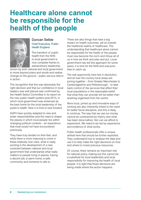## **Healthcare alone cannot be responsible for the health of the people**



#### Duncan Selbie Chief Executive, Public Health England

The transition of public health from the NHS to local government is now complete thanks to extraordinary leadership

shown by both national and local government to move beyond plans and words and realise change on the ground – public service reform in action.

The recognition that this was absolutely the right decision and that our confidence in local leaders was well placed was confirmed by the Health Select Committee in its report on the new public health system post-2013, in which local government was endorsed as the best home for the local leadership of the public's health. Now it is time to look forward.

DsPH have quickly adapted to new and wider responsibilities and the need to shape the places in which local people live within changing political contexts – an experience that most would not have encountered previously.

They have truly landed on their feet, and while there is more maturing to come in these relatively new roles, what is really exciting is the development of a new covenant between national and local government that understands what really matters to people living in places: having a decent job, a warm home, a safe community and someone to talk to.

These are also things that have a big impact on health outcomes, yet sit outside the traditional realms of healthcare. The understanding that healthcare alone cannot be responsible for the health of the people must now become the norm and infuse all of us in how we think and plan and act. Local government has led this approach for some years; it is time for the NHS and everyone else to catch up.

The real opportunity here lies in devolution, and all over the country local areas are joining together – from Greater Manchester to Cambridgeshire and Peterborough – to take back control of the services that affect their local populations in the reasonable belief that what they can provide will be better than anything organised from the centre.

More local, joined up and innovative ways of working are also inherently linked to the need for better fiscal discipline, and this is likely to continue. The way that we use our money cannot be constrained by history and what has been done before. Nor can we afford to experiment. We need to be led by experience and evidence of what works.

Public health professionals offer a unique skillset here that should be further exploited. They understand how to analyse the data and use it to help make the right decisions on how and where to invest precious resources.

Of course, there remains an important role for national policy making but this cannot be a substitute for local leadership and local responsibility for improving the health of local people. It is right that those decisions are being made where the action happens.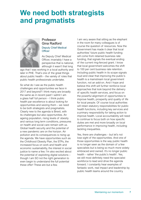# **We need both strategists and pragmatists**



#### Professor Gina Radford Deputy Chief Medical **Officer**

As Deputy Chief Medical Officer, invariably I have a perspective that is national, although it wasn't that long

ago that I was working in a local authority and later in PHE. That's one of the great things about public health – the variety of roles that public health professionals undertake.

So what do I see as the public health challenges and opportunities we face in 2017 and beyond? I think many are broadly the same as in recent past! I admit I am a glass half full person – I think public health par excellence is about looking for opportunities and seizing them – we need to be both strategists and pragmatists. Clearly new to the agenda is Brexit, with its challenges but also opportunities. An ageing population, rising levels of obesity and various long term conditions, pressures on health and social care remain with us. Global health security and the potential of a new pandemic are on the horizon. Air pollution and its consequences is rising up the agenda. We have opportunities such as the Childhood Obesity Plan, the STPs, the increased focus on work and health and economic sustainability, the interest in social justice to name a few. I'm also excited about the potential of exploiting digital solutions – though I am SO not the right generation to even begin to understand the full potential these offer! These are but a few.

I am very aware that sitting as the elephant in the room for many colleagues is of course the question of resources. Now the Government has made it clear that local authorities' future public health funding will come from retained business rate funding, that signals the eventual ending of the current ring-fenced grant. I know that local government welcomes the shift to 100 per cent business rate retention. Including public health in its scope signals loud and clear that improving the public's health is a mainstream local government function, not an add-on. And I hope and believe this shift will further reinforce local approaches that look beyond the delivery of specific health services, and focus on the powerful alignment of opportunities to improve health, prosperity and quality of life for local people. Of course local authorities will retain statutory responsibilities for public health functions, including key services and a primary responsibility for taking action to improve health. Local accountability will need to continue to focus both on how specific duties are met and more broadly on local performance in improving health, including tackling inequalities.

Yes, there are challenges – but let's not lose sight of the opportunities. And one of those opportunities is the way public health is no longer seen as the domain of a few specialists but is being so much more widely embraced and owned. It's no longer public health – rather 'the public's health'. Yes, we still most definitely need the specialist workforce to lead and drive the agenda forward. I constantly hear examples of fantastic work, real impact and leadership by public health teams around the country.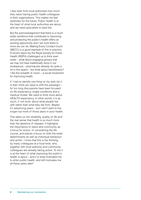I also hear from local authorities how much they value having public health colleagues in their organisations. This makes me feel optimistic for the future. Public health is at the heart of what local authorities are about, and we need specialists to lead this.

But the acknowledgement that there is a much wider workforce that contributes to improving and protecting the public's health offers an exciting opportunity and I am sure there is more we can do. Making Every Contact Count (MECC) is a good example of this in practice. A recent report by the Royal Society for Public Health (RSPH) challenged us to think even wider – what about engaging groups that we may not have traditionally done in our endeavours – pharmacists already do quite a lot in this space – but what about hairdressers? I like this breadth of vision – a social movement for improving health.

If I had to identify one thing on my wish list it is that I think we need to shift the paradigm  $$ for too long discussions have been focused on life expectancy, single conditions and a medical model. We need to think more about HEALTH expectancy. In other words, it is as much, if not more, about what people live with rather than what they die from. Maybe it's advancing years – but I don't want to live longer but more of those years in poor health.

This takes us into disability, quality of life and the real sense that health is so much more than the absence of disease. It highlights the importance of place and community as a focus for action, of considering the life course, and places a focus on both the wider determinants as well as individual behaviour and action. I know that this is the thinking by many colleagues at a local level, who, together with local authority and community colleagues are already taking action. To me it is at the heart of what improving the public's health is about – and it is what motivated me to enter public health, and still motivates me all these years later!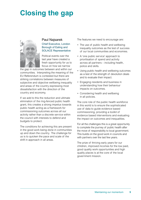# **Closing the gap**



#### Paul Najsarek

Chief Executive, London Borough of Ealing and SOLACE Representative

Political events over the last year have created a fresh opportunity for us to focus on how we narrow

the gap in outcomes between and within our communities. Interpreting the meaning of the EU Referendum is contested but there are striking correlations between measures of subjective and objective wellbeing inequality and areas of the country expressing most dissatisfaction with the direction of the country and economy.

If we add to this the reduction and ultimate elimination of the ring-fenced public health grant, this creates a strong impetus towards public health acting as a framework for commissioning outcomes across all our activity rather than a discrete service within the council with interests to defend and budgets to protect.

The conditions for achieving this are present in the good work being done in communities up and down the country. The challenge for us is to quicken the pace and scale of the shift in approach in all areas.

The features we need to encourage are:

- The use of public health and wellbeing inequality outcomes as the test of success of our local communities and economies.
- A 'one public service' approach to prioritisation of spend and activity across all partners – including health, police and skills.
- Using public health and wellbeing outcomes as a test of the strength of devolution deals and to evaluate their impact.
- Engaging residents and business in understanding how their behaviour impacts on outcomes.
- Considering health and wellbeing in all policies.

The core role of the public health workforce in this world is to ensure the sophisticated use of data to guide evidence based commissioning, providing a toolkit of evidence based interventions and evaluating the impact on outcomes and inequalities.

For all the challenges this is a great opportunity to complete the journey of public health after the move of responsibility to local government. This builds on the good work in councils and with partners over the last few years.

The prize of thriving early years for our children, improved incomes for the low paid, good quality work opportunities and high quality places is at the core of the local government mission.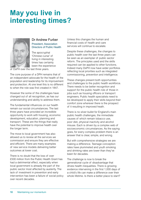# **May you live in interesting times?**



#### Dr Andrew Furber President, Association Directors of Public Health

The apocryphal 'Chinese curse' of living in interesting times has certainly been the experience

of DsPH over the last three years.

The core purpose of a DPH remains that of an independent advocate for the health of the population and leadership for its improvement and protection. At one level this is no different to when the role was first created in 1847.

However the some of the challenges have changed out of all recognition, as has our understanding and ability to address them.

The fundamental influences on our health remain our social circumstances. The last three years have provided an incredible opportunity to work with housing, economic development, education, planning and transport. These are the things that really have the potential to improve health over the longer term.

The move to local government has also allowed us to review all the services we commission and ensure they are effective and efficient. There are many examples of new service models delivering better outcomes at lower cost.

There is no doubt that the loss of over £500 million from the Public Health Grant has had a detrimental effect, especially when local government is already the part of the public sector most affected by austerity. The lack of investment in prevention and early intervention has been a failure of social policy over recent decades.

Unless this changes the human and financial costs of health and care services will continue to escalate.

Despite these challenges, the changes to public health over the last three years can be seen as an exemplar of public sector reform. The principles used and the skills required can be applied to other functions. Indeed many DsPH now have wider portfolios reflecting local priorities such as integrated commissioning, prevention and intelligence.

These changes present both opportunities and challenges to the public health workforce. There needs to be better recognition and support for the public health role of those in jobs such as housing officers or transport engineers. Public health specialists need to be developed to apply their skills beyond their comfort zone wherever there is the prospect of it resulting in improved heath.

There is no silver bullet for England's main public health challenges, the immediate causes of which remain tobacco use, poor diet, physical inactivity and alcohol misuse. Each is driven by a complex web of socioeconomic circumstances. As the saying goes, for every complex problem there is an answer that is clear, simple, and wrong.

But with comprehensive strategies we are making a difference. Teenage conception rates have plummeted and youth smoking and drinking rates are lower than they've been for decades.

The challenge is now to break the generational cycle of disadvantage that drives health inequalities. There is growing evidence intervening in the first 1,000 days of a child's life can make a difference over their whole lifetime. Is there a better place to start?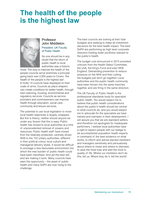# **The health of the people is the highest law**



#### Professor John Middleton President, UK Faculty of Public Health

No one should be in any doubt that the return of public health to local authorities was a historic

move. The duty to improve the health of the people councils serve enshrines a principle going back over 2,000 years to Cicero: 'the health of the people is the highest law'. A motto 14 councils have displayed on their coats of arms. Councils as place shapers can create conditions for better health, through town planning, housing, environmental and regulatory services. Councils as service providers and commissioners can improve health through education, social care, community and leisure services.

The potential to use local legislation to move local health objectives is largely untapped. But this is theory; neither should anyone be under any illusion that this is easy. Public health has moved to local authorities at a time of unprecedented removal of powers and resources. Public health staff have moved from the relatively protected, centrally driven NHS to the 152 unitary authorities, different in their political colour, local culture and managerial delivery styles. It would be difficult to envisage a less favourable environment into which the new burden of public health could have been transfixed. And yet the best will, and are making it work. Many councils have seen the opportunity – the asset of public health and many DsPH are now rising to the challenge.

The best councils are looking at their total budgets and seeking to make all investment decisions for the best health impact. The best DsPH are performing as high level corporate directors holding wider portfolios relevant to the public's health.

The budget cuts announced in 2015 provoked criticism from the Health Select Committee, the LGA, the King's Fund and even NHS England. Demanding prevention to reduce pressure on the NHS and then cutting the budgets just don't go together. Local authorities and the public health community have been thrown into the same trenches together, and are firing in the same direction.

The UK Faculty of Public Health is the professional standards body for specialist public health. You would expect me to believe that public health considerations about the public's health should be central to what councils do, and you would expect me to advocate for the specialists we have trained and overseen in their development. I will assure you that we are standard setters, and therefore not apologists for inadequate performers. I believe local authorities have a right to expect people with our badge to be accomplished population health experts in command of the best evidence on what works, to inform and advise elected members and managers sensitively and persuasively about where to invest and where to disinvest, to save the most lives and add the most to quality of life. Where our members don't do this, tell us. Where they do it, tell the world!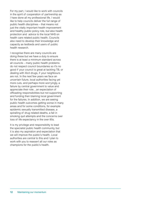For my part, I would like to work with councils in the spirit of cooperation of partnership as I have done all my professional life. I would like to help councils deliver the full range of public health disciplines – that means not just the vitally important health improvement and healthy public policy role, but also health protection and advice to the local NHS on health care related public health. Councils also need to develop their knowledge and capacity as testbeds and users of public health research.

I recognise there are many councils are doing these but we have a duty to ensure there is at least a minimum standard across all councils – many public health problems do not respect council boundaries so it's no good if your council is great at tackling TB, or dealing with illicit drugs, if your neighbours are not. In the next few years we face an uncertain future, local authorities facing yet more cuts, and perhaps more worryingly, a failure by central government to value and appreciate their role…an expectation of offloading responsibilities but not supporting and funding then blaming local government for the failures. In addition, we are seeing public health outcomes getting worse in many areas and for some conditions, for example epidemic sexually transmitted disease, a spiralling of drug related deaths, a fall in smoking quit attempts and the concerns over loss of life expectancy in the over 85s.

It is my privilege and responsibility to lead the specialist public health community, but it is also my aspiration and expectation that we will improve the public's health. Local authorities are central to this and I plan to work with you to reassert all our roles as champions for the public's health.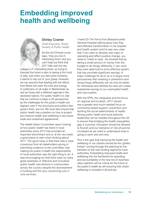# **Embedding improved health and wellbeing**



#### Shirley Cramer

Chief Executive, Royal Society of Public Health

As the old Chinese curse says, 'may you live in interesting times' and you can't help but think that 2017 falls well into the

category of 'interesting times' as trying to forecast the future is akin to taking a firm hold of jelly. Just when you feel some certainty, it seems to slip out of your grasp. However, we can assume that dealing with the fallout from Brexit will claim the time and energy of politicians on all sides in Westminster as well as those with a different agenda in the devolved nations. For public health it is vital that we continue to keep a UK perspective as the challenges for the public's health are aligned, even if the structures and politics that govern them, are not. We must also ensure that public health has a position on how to protect and improve health and wellbeing in any future trade and investment agreements.

The Health Select Committee report looking at how public health has fared in local authorities since 2013 has provided an important benchmark and is, at the very least, a good place to start when thinking about 2017. The good news is that there was a clear consensus from all stakeholders giving or submitting evidence to the committee, that making the public's health the responsibility of local authorities was the right thing to do. It was encouraging too that there were so many great examples of effective and innovative public health interventions in communities across the country despite the disinvestment in funding and the very concerning cuts in core services.

I heard Dr Tim Ferris from Massachusetts General Hospital talking about how they had effected transformation in his hospital and health system and he was very clear that if you want to develop new ways of operating and effect positive change, you need to 'invest to save'. He showed that by taking a small amount of money from the budget to do things differently (1 per cent) they were able build a more effective system that has provided significant savings. A major challenge for all of us is to argue more persuasively that investing in prevention and doing things differently will not only be better for individuals and families but also will create substantial savings to our overloaded health and care system.

With the STPs, the vanguards and the focus on regional and localism, 2017 should see a greater and much-needed focus on community based support, prevention and tackling the social determinants of health. Strong public health and local authority leadership will be needed throughout the UK to ensure that bridging the health inequalities gap is a priority. Innovation should be allowed to flourish and our tolerance of risk should be increased as we need to understand what is going to work well and why.

This is the year that improving the health and wellbeing of our citizens should be the 'golden thread' running through the planning for the transition to the new funding regime for local authorities. Embedding improved health and wellbeing into the framework for spending and accountability in the new era of business rates retention will be critical for the future of the public's health as will ensuring that citizen wellbeing is included in all policies.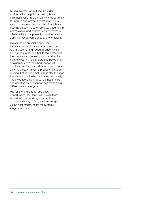During this year we will see the wider workforce for the public's health, those individuals who have the 'ability or opportunity to improve and protect health', mobilise to support their local communities. Firefighters, housing officers, leisure services, allied health professionals and pharmacy amongst many others, will join the prevention workforce with skills, increased confidence and enthusiasm.

We should be optimistic about the implementation of the sugar levy and the reformulation of high sugar products which could mean, at least, a halt to the increase in the prevalence of obesity, if not a fall in the next few years. The standardised packaging of cigarettes with their lurid images will continue the downward slide of tobacco sales as will the use of nicotine products to support quitting. Let us hope that 2017 is also the year that we act on climate change and air quality. The evidence is clear about the health risks and enacting small changes can make a big difference in the long run.

With all the challenges (and a few opportunities) that face us this year, there is no doubt that working together in a collaborative way to find solutions will give us the best results, so for the twitterati, #togetherwecan.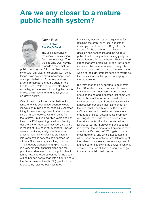# **Are we any closer to a mature public health system?**



#### David Buck Senior Fellow, The King's Fund

The title is a reprise of the essay I am revisiting from two years ago. Then the strapline was 'Moving towards a more mature

public health system'. Looking back, was my crystal ball clear or clouded? Well, some things I was excited about never happened, or simply fizzled out. For example, does anyone remember the damp squib of the health premium? But there have also been some big achievements, including the transfer of responsibilities and funding for younger children's health.

One of the things I was particularly looking forward to was seeing how councils would innovate on public health, especially. Another thing it is easy to forget was that around a third of areas received windfall gains from the reforms, up a fifth over two years against their local PCT spending baselines. Frankly, despite lots of reported innovation, including in the raft of LGA case study reports, I haven't seen a convincing analysis of how local areas turned this windfall into significant improvements in services or outcomes for citizens. Such an analysis is long overdue. This is doubly disappointing, given we are in a very different financial place and the practical evidence of how local public health teams have improved outcomes for the better will be needed as we head into a future where the Department of Health (DH) grant will be replaced by retained business rates.

In my view, there are strong arguments for retaining the grant, or at least aspects of it, and you can look on The King's Fund's website for the details on that. But the decision has been taken and the future of public health locally will increasingly rely on strong leaders for public health. That will need strong leadership from DsPH and I have been impressed by many who have already taken on the challenge of bending the curve on the whole of local government spend to maximise the population health impact, not relying on the grant alone.

But they need to be supported to do it, from the LGA and others, and we need to ensure that the welcome increase in transparency about spending and outcomes that came with the public health reforms is not lost with the shift to business rates. Transparency remains a necessary condition that has to underpin the local public health system. But it is not sufficient. As public health becomes more embedded in local government's everyday workings there needs to be a fundamental look at accountability. How do we define failure, as well as improvement and success, in a system that is more about outcomes than about specific services? Who gets to make those decisions, and who is accountable to who? These are questions I was left asking at the tail-end of my essay two years ago and I am no nearer to knowing the answers. On that score, at least, we still have a long way to go to a mature public health system.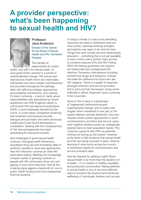## **A provider perspective: what's been happening to sexual health and HIV?**



#### Professor Jane Anderson Director of the Centre for the Study of Sexual Health and HIV, Homerton **Hospital**

The transfer of responsibility for public

health, and with it for sexual health, to local government ushered in a period of unprecedented change. HIV, sexual and reproductive health which are inextricably intertwined now have multiple commissioners and providers throughout the pathway, often with differing strategic approaches, accountability mechanisms, and cultures. It's been confusing – a lack of clarity about responsibilities was exemplified by recent arguments over NHS England's ability to commission HIV pre-exposure prophylaxis (PrEP), a point eventually decided by the courts. In some areas competitive tendering has hindered commissioner-provider dialogue and providers who were previously collaborators have found themselves in competition. Dealing with the consequences of the new arrangements has been demanding for everyone involved.

And challenges to good sexual health continue. Changing health behaviours, sexualised drug use and increasing rates of antibiotic resistance need new approaches. New HIV infections continue as does HIV associated stigma. Meeting the increasingly complex needs of growing numbers of people with HIV, particularly those who are ageing, is ever more important. And all this is taking place against a backcloth of cuts in public health funding and more widespread financial austerity.

In today's climate of scarce and dwindling resources we need to implement what we know works, maximise existing strengths and explore new ways to do more for less. Things that work include sex and relationships education – something that is not yet available to every child in every school. Easy access to condoms reduces STIs and HIV. Putting NICE HIV testing guidelines into practice will reduce late and undiagnosed HIV infection. Prevention interventions including antiretroviral drugs and behaviour change will make the difference for those who are HIV negative. There is a wealth of expertise amongst clinicians and service providers that is yet to be fully harnessed. Using online methods to deliver diagnostic tests is proving to be a success.

None of this is easy in a landscape of fragmented commissioning and organisational change, and is made even tougher when investment in one part of the system delivers savings elsewhere. Success requires whole system approaches in which commissioners, providers and service users work together develop joined up, strategically aligned plans to meet population needs. This could be a good fit with STPs as potential vehicles for joining up the system. However so far there is little evidence that sexual health and HIV are being included in plans. Sharing learning of what works across the country is immensely helpful for commissioners and service providers alike.

And the rewards for getting it right? Good sexual health is far more than the absence of ill health – it is a marker of healthy, equitable and productive communities. Paying attention to sexual health is one of the most effective ways to enhance the physical and emotional wellbeing of individuals, families, and society.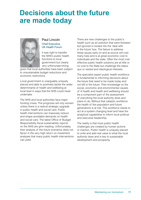# **Decisions about the future are made today**



#### Paul Lincoln Chief Executive, UK Health Forum

It was right to transfer the NHS's public health functions to local government but clearly very unfortunate timing

given that local authorities have been subject to unsustainable budget reductions and economic restrictions.

Local government is unarguably uniquely placed and able to positively tackle the wider determinants of health and wellbeing at local level in ways that the NHS could never undertake.

The NHS and local authorities face major funding crises. The prognosis will only worsen unless there is a radical strategic upgrade in public health and social care. Public health interventions can massively reduce and shape avoidable demands on health and social care. The latest Office of Budget Responsibility fiscal sustainability reports on the NHS are grim reading. Unfortunately, their analysis of the future scenarios does not factor in the very high return on investment analyses that many public health interventions can yield.

There are new challenges to the public's health such as air pollution that were foreseen but ignored or kicked into the 'deal with in the future' box. The failure to address these issues early on and at source will cost many lives and is at great economic cost to individuals and the state. Often the most cost effective public health solutions are at little or no cost to the State but challenge the status quo or vested and ideological interests.

The specialist expert public health workforce is fundamental to informing decisions about the future that need to be made today and not left to the future. Their knowledge on the social, economic and environmental causes of ill health and health and wellbeing should be a component part of the assessment of everything the local authority does and plans to do. Without that catalytic workforce the health of the population and future generations is at risk. This workforce needs to act at a system changing level and have the analytical capabilities to inform local political and executive leadership.

The reality is that most public health challenges are created by human actions or inaction. Public health is uniquely placed to unite and add real value to what the local authority does and is key to sustainable development and prosperity.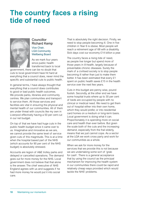# **The country faces a rising tide of need**



#### **Councillor** Richard Kemp Vice Chair, LGA Community Wellbeing Board

As we mark four years since public health transferred back to local

government, there can be no doubt that cuts to local government have hit hard at everything that a council does, never mind the specific and substantial cuts to public health.

In general terms, I have always thought that everything that a council does contributes to good or bad public health outcomes. We provide parks, libraries and community centres. We plan communities and transport to service them. All those services and facilities are vital in ensuring the physical and mental health of our communities. All of them are under threat with councils like my own in Liverpool effectively having a 50 per cent cut in our net budget.

On top of that we have had huge cuts in the public health budget since it came over to us. Imaginative and innovative as we are, we cannot provide the same level of service given cuts of this magnitude. This is at a time when the hospital based part of the NHS (which accounts for 90 per cent of the NHS budget) is absolutely stressed.

Accounts are legion of A&E trolley parks and delayed or cancelled operations. The demand goes out for more money for the NHS. Local government does not believe that that alone is the answer. The chief executive of NHS England agrees with us and suggests if he had more money he would put it into social care.

That is absolutely the right decision. Firstly, we need to stop people becoming ill. One in five children in Year 6 is obese. Most people will reach a retirement age of 68 with a disability. Sick days cost our economy £14 billion a year.

The country faces a rising tide of need, as people live longer but spend more of those years in ill-health, largely because of preventable chronic diseases. Surely the mark of a civilised society is to stop people becoming ill rather than just to make them better. It has been estimated that every £1 spent on public health saves £15 in the health service over the next few years.

Cuts in this budget are penny wise, pound foolish. Secondly, at the other end we have some hospital trusts where up to 30 per cent of beds are occupied by people with no clinical or medical need. We need to get them out of hospital either into their own home, which they would prefer, or into residential card homes on a medium or long-term basis. Local government is doing what it can. Proportionately it is spending more on social care and health than ever before. But given the scale both of the cuts and the increasing demand, especially from the frail elderly, means that we just cannot cope. As a sector at the LGA we work cross party and work for our communities as a whole.

When we ask for more money for the services that we provide this is not because we are undertaking some sort of 'grab for cash'. There is a general acceptance that by using the council as the principal mechanism for improving the health system in our communities there could be rapid and relatively cheap ways provided which would tackle the NHS' problems.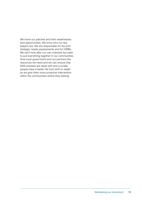We know our patches and their weaknesses and opportunities. We know who our key players are. We are responsible for the joint strategic needs assessments and for HWBs. We don't look after our own interests but seek to pull everything together in our communities. Give local government and our partners the resources we need and we can ensure that NHS stresses are dealt with and crucially people have a better life from birth to death as we give them more proactive intervention within the communities where they belong.